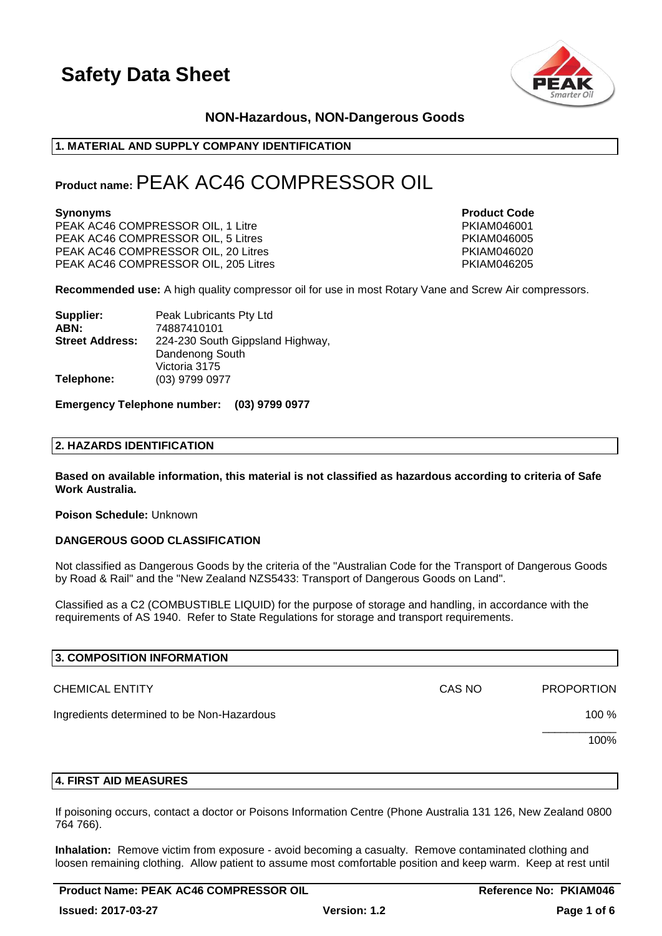

### **NON-Hazardous, NON-Dangerous Goods**

#### **1. MATERIAL AND SUPPLY COMPANY IDENTIFICATION**

### **Product name:**PEAK AC46 COMPRESSOR OIL

PEAK AC46 COMPRESSOR OIL, 1 Litre PKIAM046001 PEAK AC46 COMPRESSOR OIL, 5 Litres PART AND PEAK AC46 COMPRESSOR OIL, 20 Litres PART AND PRIAM046020 PEAK AC46 PEAK AC46 COMPRESSOR OIL, 20 Litres PEAK AC46 COMPRESSOR OIL, 205 Litres PARTICLE 2012 12:00 PKIAM046205

**Synonyms Product Code** 

**Recommended use:** A high quality compressor oil for use in most Rotary Vane and Screw Air compressors.

| Supplier:              | Peak Lubricants Pty Ltd          |
|------------------------|----------------------------------|
| ABN:                   | 74887410101                      |
| <b>Street Address:</b> | 224-230 South Gippsland Highway, |
|                        | Dandenong South                  |
|                        | Victoria 3175                    |
| Telephone:             | (03) 9799 0977                   |

#### **Emergency Telephone number: (03) 9799 0977**

#### **2. HAZARDS IDENTIFICATION**

**Based on available information, this material is not classified as hazardous according to criteria of Safe Work Australia.**

**Poison Schedule:** Unknown

#### **DANGEROUS GOOD CLASSIFICATION**

Not classified as Dangerous Goods by the criteria of the "Australian Code for the Transport of Dangerous Goods by Road & Rail" and the "New Zealand NZS5433: Transport of Dangerous Goods on Land".

Classified as a C2 (COMBUSTIBLE LIQUID) for the purpose of storage and handling, in accordance with the requirements of AS 1940. Refer to State Regulations for storage and transport requirements.

| 3. COMPOSITION INFORMATION                 |        |                   |
|--------------------------------------------|--------|-------------------|
| <b>CHEMICAL ENTITY</b>                     | CAS NO | <b>PROPORTION</b> |
| Ingredients determined to be Non-Hazardous |        | 100 %             |
|                                            |        | 100%              |
|                                            |        |                   |

#### **4. FIRST AID MEASURES**

If poisoning occurs, contact a doctor or Poisons Information Centre (Phone Australia 131 126, New Zealand 0800 764 766).

**Inhalation:** Remove victim from exposure - avoid becoming a casualty. Remove contaminated clothing and loosen remaining clothing. Allow patient to assume most comfortable position and keep warm. Keep at rest until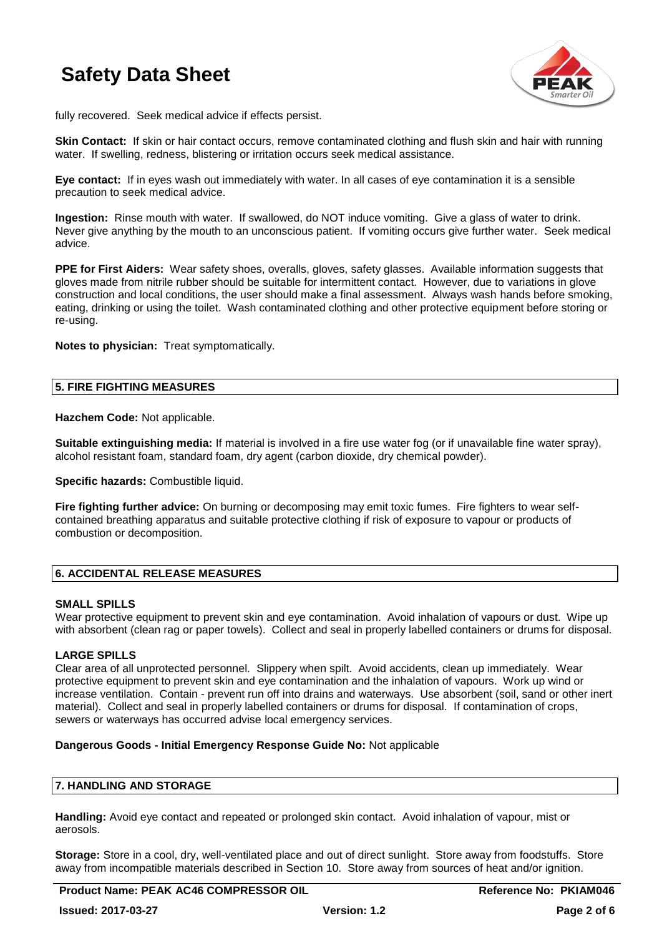

fully recovered. Seek medical advice if effects persist.

**Skin Contact:** If skin or hair contact occurs, remove contaminated clothing and flush skin and hair with running water. If swelling, redness, blistering or irritation occurs seek medical assistance.

**Eye contact:** If in eyes wash out immediately with water. In all cases of eye contamination it is a sensible precaution to seek medical advice.

**Ingestion:** Rinse mouth with water. If swallowed, do NOT induce vomiting. Give a glass of water to drink. Never give anything by the mouth to an unconscious patient. If vomiting occurs give further water. Seek medical advice.

**PPE for First Aiders:** Wear safety shoes, overalls, gloves, safety glasses. Available information suggests that gloves made from nitrile rubber should be suitable for intermittent contact. However, due to variations in glove construction and local conditions, the user should make a final assessment. Always wash hands before smoking, eating, drinking or using the toilet. Wash contaminated clothing and other protective equipment before storing or re-using.

**Notes to physician:** Treat symptomatically.

#### **5. FIRE FIGHTING MEASURES**

**Hazchem Code:** Not applicable.

**Suitable extinguishing media:** If material is involved in a fire use water fog (or if unavailable fine water spray), alcohol resistant foam, standard foam, dry agent (carbon dioxide, dry chemical powder).

**Specific hazards: Combustible liquid.** 

**Fire fighting further advice:** On burning or decomposing may emit toxic fumes. Fire fighters to wear selfcontained breathing apparatus and suitable protective clothing if risk of exposure to vapour or products of combustion or decomposition.

#### **6. ACCIDENTAL RELEASE MEASURES**

#### **SMALL SPILLS**

Wear protective equipment to prevent skin and eye contamination. Avoid inhalation of vapours or dust. Wipe up with absorbent (clean rag or paper towels). Collect and seal in properly labelled containers or drums for disposal.

#### **LARGE SPILLS**

Clear area of all unprotected personnel. Slippery when spilt. Avoid accidents, clean up immediately. Wear protective equipment to prevent skin and eye contamination and the inhalation of vapours. Work up wind or increase ventilation. Contain - prevent run off into drains and waterways. Use absorbent (soil, sand or other inert material). Collect and seal in properly labelled containers or drums for disposal. If contamination of crops, sewers or waterways has occurred advise local emergency services.

#### **Dangerous Goods - Initial Emergency Response Guide No:** Not applicable

#### **7. HANDLING AND STORAGE**

**Handling:** Avoid eye contact and repeated or prolonged skin contact. Avoid inhalation of vapour, mist or aerosols.

**Storage:** Store in a cool, dry, well-ventilated place and out of direct sunlight. Store away from foodstuffs. Store away from incompatible materials described in Section 10. Store away from sources of heat and/or ignition.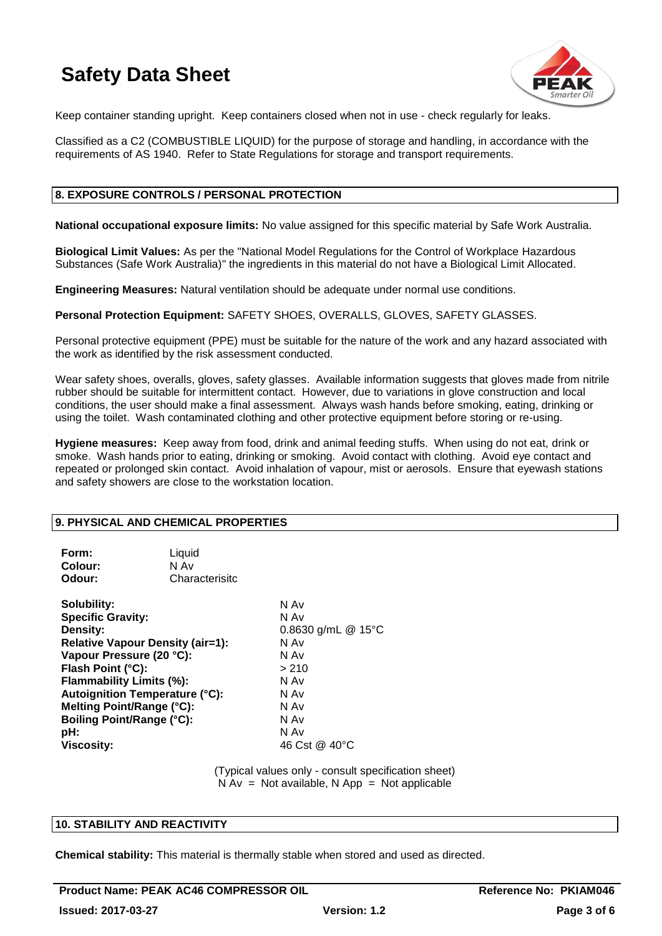

Keep container standing upright. Keep containers closed when not in use - check regularly for leaks.

Classified as a C2 (COMBUSTIBLE LIQUID) for the purpose of storage and handling, in accordance with the requirements of AS 1940. Refer to State Regulations for storage and transport requirements.

#### **8. EXPOSURE CONTROLS / PERSONAL PROTECTION**

**National occupational exposure limits:** No value assigned for this specific material by Safe Work Australia.

**Biological Limit Values:** As per the "National Model Regulations for the Control of Workplace Hazardous Substances (Safe Work Australia)" the ingredients in this material do not have a Biological Limit Allocated.

**Engineering Measures:** Natural ventilation should be adequate under normal use conditions.

**Personal Protection Equipment:** SAFETY SHOES, OVERALLS, GLOVES, SAFETY GLASSES.

Personal protective equipment (PPE) must be suitable for the nature of the work and any hazard associated with the work as identified by the risk assessment conducted.

Wear safety shoes, overalls, gloves, safety glasses. Available information suggests that gloves made from nitrile rubber should be suitable for intermittent contact. However, due to variations in glove construction and local conditions, the user should make a final assessment. Always wash hands before smoking, eating, drinking or using the toilet. Wash contaminated clothing and other protective equipment before storing or re-using.

**Hygiene measures:** Keep away from food, drink and animal feeding stuffs. When using do not eat, drink or smoke. Wash hands prior to eating, drinking or smoking. Avoid contact with clothing. Avoid eye contact and repeated or prolonged skin contact. Avoid inhalation of vapour, mist or aerosols. Ensure that eyewash stations and safety showers are close to the workstation location.

#### **9. PHYSICAL AND CHEMICAL PROPERTIES**

| Form:<br>Colour:<br>Odour:                                                                                                                                                                                                                                                                                        | Liquid<br>N Av<br>Characterisitc |                                                                                                                                |
|-------------------------------------------------------------------------------------------------------------------------------------------------------------------------------------------------------------------------------------------------------------------------------------------------------------------|----------------------------------|--------------------------------------------------------------------------------------------------------------------------------|
| Solubility:<br><b>Specific Gravity:</b><br>Density:<br><b>Relative Vapour Density (air=1):</b><br>Vapour Pressure (20 °C):<br>Flash Point (°C):<br>Flammability Limits (%):<br><b>Autoignition Temperature (°C):</b><br>Melting Point/Range (°C):<br><b>Boiling Point/Range (°C):</b><br>pH:<br><b>Viscosity:</b> |                                  | N Av<br>N Av<br>0.8630 g/mL @ $15^{\circ}$ C<br>N Av<br>N Av<br>> 210<br>N Av<br>N Av<br>N Av<br>N Av<br>N Av<br>46 Cst @ 40°C |

(Typical values only - consult specification sheet)  $N Av = Not available, N App = Not applicable$ 

#### **10. STABILITY AND REACTIVITY**

**Chemical stability:** This material is thermally stable when stored and used as directed.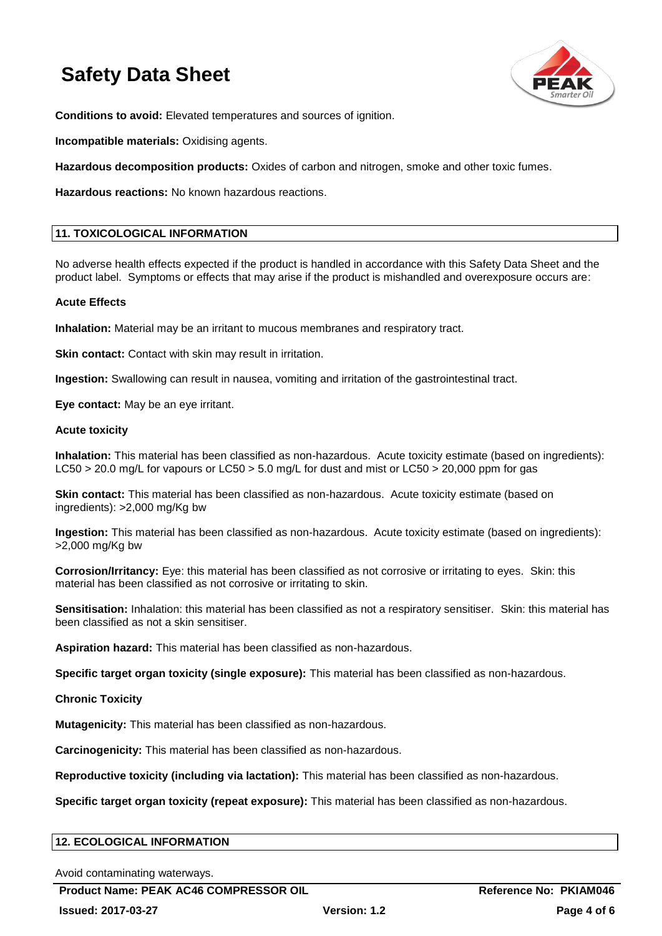

**Conditions to avoid:** Elevated temperatures and sources of ignition.

**Incompatible materials:** Oxidising agents.

**Hazardous decomposition products:** Oxides of carbon and nitrogen, smoke and other toxic fumes.

**Hazardous reactions:** No known hazardous reactions.

#### **11. TOXICOLOGICAL INFORMATION**

No adverse health effects expected if the product is handled in accordance with this Safety Data Sheet and the product label. Symptoms or effects that may arise if the product is mishandled and overexposure occurs are:

#### **Acute Effects**

**Inhalation:** Material may be an irritant to mucous membranes and respiratory tract.

**Skin contact:** Contact with skin may result in irritation.

**Ingestion:** Swallowing can result in nausea, vomiting and irritation of the gastrointestinal tract.

**Eye contact:** May be an eye irritant.

#### **Acute toxicity**

**Inhalation:** This material has been classified as non-hazardous. Acute toxicity estimate (based on ingredients): LC50 > 20.0 mg/L for vapours or LC50 > 5.0 mg/L for dust and mist or LC50 > 20,000 ppm for gas

**Skin contact:** This material has been classified as non-hazardous. Acute toxicity estimate (based on ingredients): >2,000 mg/Kg bw

**Ingestion:** This material has been classified as non-hazardous. Acute toxicity estimate (based on ingredients): >2,000 mg/Kg bw

**Corrosion/Irritancy:** Eye: this material has been classified as not corrosive or irritating to eyes. Skin: this material has been classified as not corrosive or irritating to skin.

**Sensitisation:** Inhalation: this material has been classified as not a respiratory sensitiser. Skin: this material has been classified as not a skin sensitiser.

**Aspiration hazard:** This material has been classified as non-hazardous.

**Specific target organ toxicity (single exposure):** This material has been classified as non-hazardous.

**Chronic Toxicity**

**Mutagenicity:** This material has been classified as non-hazardous.

**Carcinogenicity:** This material has been classified as non-hazardous.

**Reproductive toxicity (including via lactation):** This material has been classified as non-hazardous.

**Specific target organ toxicity (repeat exposure):** This material has been classified as non-hazardous.

#### **12. ECOLOGICAL INFORMATION**

Avoid contaminating waterways.

**Product Name: PEAK AC46 COMPRESSOR OIL Reference No: PKIAM046**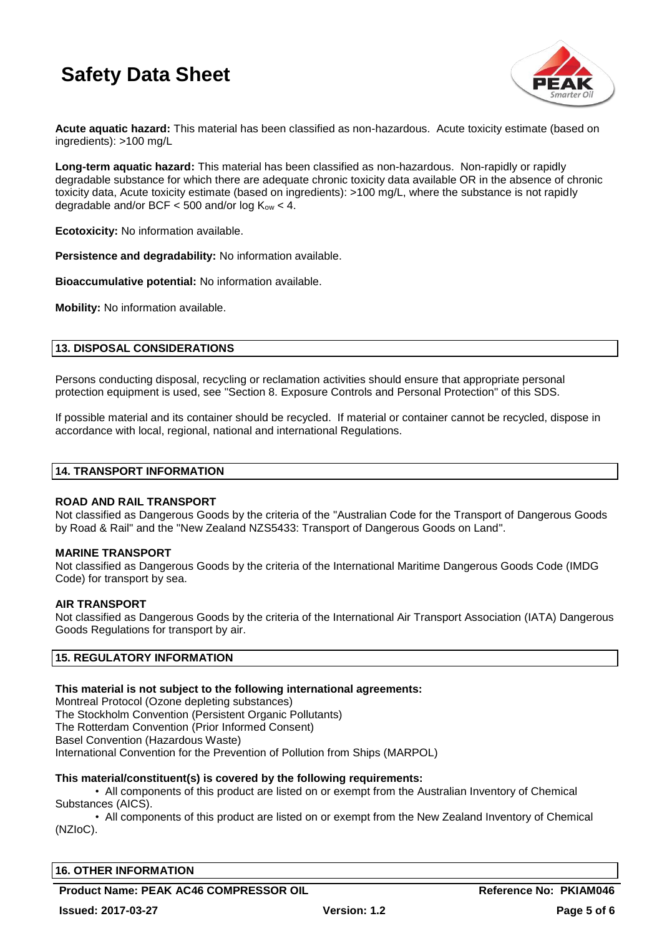

**Acute aquatic hazard:** This material has been classified as non-hazardous. Acute toxicity estimate (based on ingredients): >100 mg/L

**Long-term aquatic hazard:** This material has been classified as non-hazardous. Non-rapidly or rapidly degradable substance for which there are adequate chronic toxicity data available OR in the absence of chronic toxicity data, Acute toxicity estimate (based on ingredients): >100 mg/L, where the substance is not rapidly degradable and/or BCF  $<$  500 and/or log  $K_{ow}$   $<$  4.

**Ecotoxicity:** No information available.

**Persistence and degradability:** No information available.

**Bioaccumulative potential:** No information available.

**Mobility:** No information available.

#### **13. DISPOSAL CONSIDERATIONS**

Persons conducting disposal, recycling or reclamation activities should ensure that appropriate personal protection equipment is used, see "Section 8. Exposure Controls and Personal Protection" of this SDS.

If possible material and its container should be recycled. If material or container cannot be recycled, dispose in accordance with local, regional, national and international Regulations.

#### **14. TRANSPORT INFORMATION**

#### **ROAD AND RAIL TRANSPORT**

Not classified as Dangerous Goods by the criteria of the "Australian Code for the Transport of Dangerous Goods by Road & Rail" and the "New Zealand NZS5433: Transport of Dangerous Goods on Land".

#### **MARINE TRANSPORT**

Not classified as Dangerous Goods by the criteria of the International Maritime Dangerous Goods Code (IMDG Code) for transport by sea.

#### **AIR TRANSPORT**

Not classified as Dangerous Goods by the criteria of the International Air Transport Association (IATA) Dangerous Goods Regulations for transport by air.

#### **15. REGULATORY INFORMATION**

#### **This material is not subject to the following international agreements:**

Montreal Protocol (Ozone depleting substances) The Stockholm Convention (Persistent Organic Pollutants) The Rotterdam Convention (Prior Informed Consent) Basel Convention (Hazardous Waste) International Convention for the Prevention of Pollution from Ships (MARPOL)

#### **This material/constituent(s) is covered by the following requirements:**

• All components of this product are listed on or exempt from the Australian Inventory of Chemical Substances (AICS).

• All components of this product are listed on or exempt from the New Zealand Inventory of Chemical (NZIoC).

#### **16. OTHER INFORMATION**

**Product Name: PEAK AC46 COMPRESSOR OIL Reference No: PKIAM046**